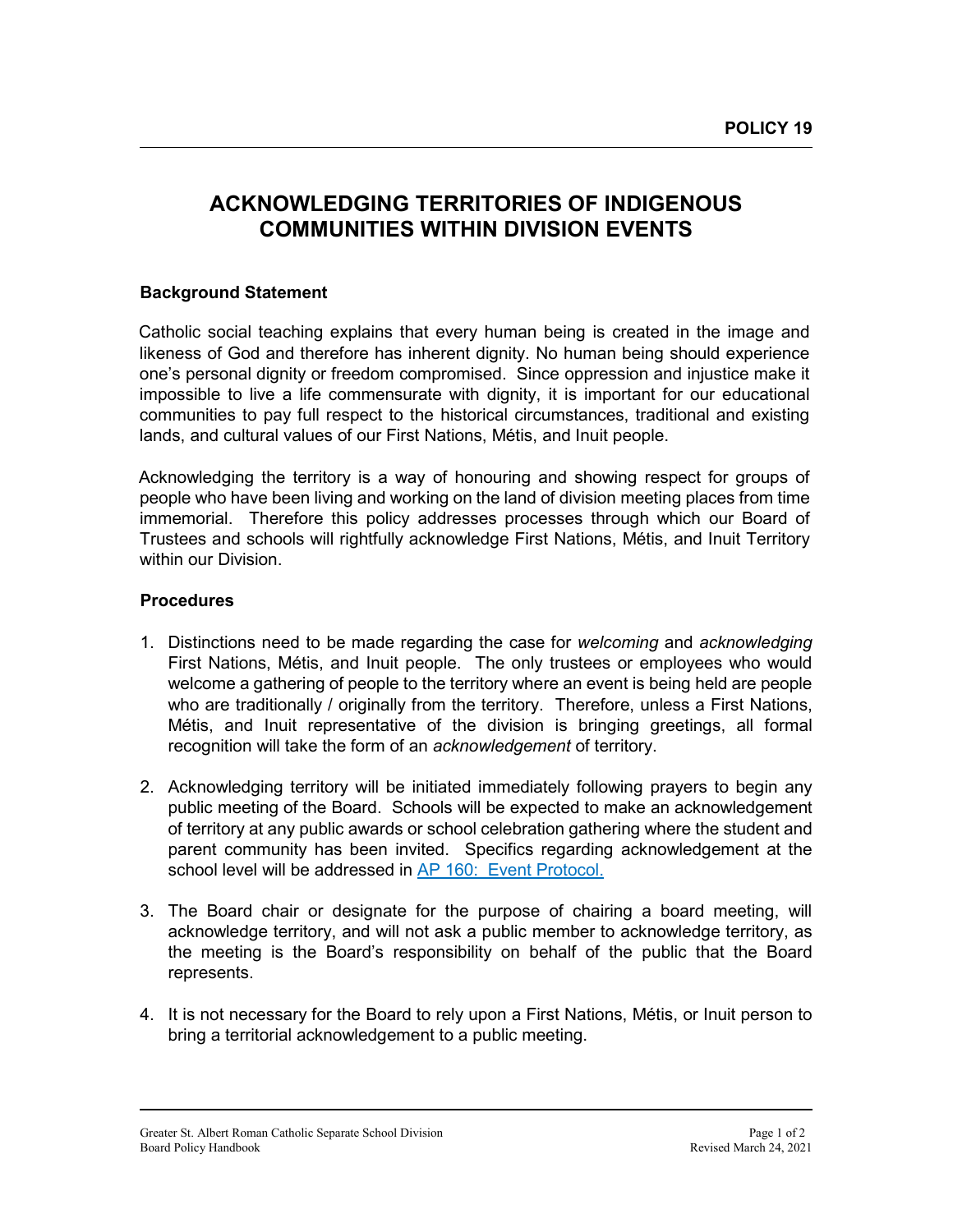## **ACKNOWLEDGING TERRITORIES OF INDIGENOUS COMMUNITIES WITHIN DIVISION EVENTS**

## **Background Statement**

Catholic social teaching explains that every human being is created in the image and likeness of God and therefore has inherent dignity. No human being should experience one's personal dignity or freedom compromised. Since oppression and injustice make it impossible to live a life commensurate with dignity, it is important for our educational communities to pay full respect to the historical circumstances, traditional and existing lands, and cultural values of our First Nations, Métis, and Inuit people.

Acknowledging the territory is a way of honouring and showing respect for groups of people who have been living and working on the land of division meeting places from time immemorial. Therefore this policy addresses processes through which our Board of Trustees and schools will rightfully acknowledge First Nations, Métis, and Inuit Territory within our Division.

## **Procedures**

- 1. Distinctions need to be made regarding the case for *welcoming* and *acknowledging* First Nations, Métis, and Inuit people. The only trustees or employees who would welcome a gathering of people to the territory where an event is being held are people who are traditionally / originally from the territory. Therefore, unless a First Nations, Métis, and Inuit representative of the division is bringing greetings, all formal recognition will take the form of an *acknowledgement* of territory.
- 2. Acknowledging territory will be initiated immediately following prayers to begin any public meeting of the Board. Schools will be expected to make an acknowledgement of territory at any public awards or school celebration gathering where the student and parent community has been invited. Specifics regarding acknowledgement at the school level will be addressed in [AP 160: Event Protocol.](https://www.gsacrd.ab.ca/download/9133)
- 3. The Board chair or designate for the purpose of chairing a board meeting, will acknowledge territory, and will not ask a public member to acknowledge territory, as the meeting is the Board's responsibility on behalf of the public that the Board represents.
- 4. It is not necessary for the Board to rely upon a First Nations, Métis, or Inuit person to bring a territorial acknowledgement to a public meeting.